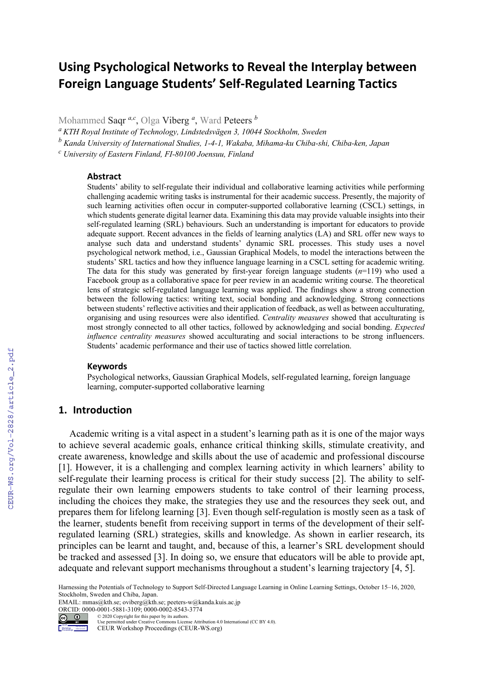# **Using Psychological Networks to Reveal the Interplay between Foreign Language Students' Self-Regulated Learning Tactics**

Mohammed Saqr *a,c*, Olga Viberg *<sup>a</sup>* , Ward Peteers *<sup>b</sup>*

*<sup>a</sup> KTH Royal Institute of Technology, Lindstedsvägen 3, 10044 Stockholm, Sweden*

*<sup>b</sup> Kanda University of International Studies, 1-4-1, Wakaba, Mihama-ku Chiba-shi, Chiba-ken, Japan*

*<sup>c</sup> University of Eastern Finland, FI-80100 Joensuu, Finland*

#### **Abstract**

Students' ability to self-regulate their individual and collaborative learning activities while performing challenging academic writing tasks is instrumental for their academic success. Presently, the majority of such learning activities often occur in computer-supported collaborative learning (CSCL) settings, in which students generate digital learner data. Examining this data may provide valuable insights into their self-regulated learning (SRL) behaviours. Such an understanding is important for educators to provide adequate support. Recent advances in the fields of learning analytics (LA) and SRL offer new ways to analyse such data and understand students' dynamic SRL processes. This study uses a novel psychological network method, i.e., Gaussian Graphical Models, to model the interactions between the students' SRL tactics and how they influence language learning in a CSCL setting for academic writing. The data for this study was generated by first-year foreign language students  $(n=119)$  who used a Facebook group as a collaborative space for peer review in an academic writing course. The theoretical lens of strategic self-regulated language learning was applied. The findings show a strong connection between the following tactics: writing text, social bonding and acknowledging. Strong connections between students' reflective activities and their application of feedback, as well as between acculturating, organising and using resources were also identified. *Centrality measures* showed that acculturating is most strongly connected to all other tactics, followed by acknowledging and social bonding. *Expected influence centrality measures* showed acculturating and social interactions to be strong influencers. Students' academic performance and their use of tactics showed little correlation.

#### **Keywords**

Psychological networks, Gaussian Graphical Models, self-regulated learning, foreign language learning, computer-supported collaborative learning

#### **1. Introduction**

CEUR-WS.org/Vol-2828/article\_2.pdf

Academic writing is a vital aspect in a student's learning path as it is one of the major ways to achieve several academic goals, enhance critical thinking skills, stimulate creativity, and create awareness, knowledge and skills about the use of academic and professional discourse [1]. However, it is a challenging and complex learning activity in which learners' ability to self-regulate their learning process is critical for their study success [2]. The ability to selfregulate their own learning empowers students to take control of their learning process, including the choices they make, the strategies they use and the resources they seek out, and prepares them for lifelong learning [3]. Even though self-regulation is mostly seen as a task of the learner, students benefit from receiving support in terms of the development of their selfregulated learning (SRL) strategies, skills and knowledge. As shown in earlier research, its principles can be learnt and taught, and, because of this, a learner's SRL development should be tracked and assessed [3]. In doing so, we ensure that educators will be able to provide apt, adequate and relevant support mechanisms throughout a student's learning trajectory [4, 5].

EMAIL: mmas@kth.se; oviberg@kth.se; peeters-w@kanda.kuis.ac.jp

ORCID: 0000-0001-5881-3109; 0000-0002-8543-3774<br>  $\odot$  0 02020 Copyright for this paper by its authors.



Harnessing the Potentials of Technology to Support Self-Directed Language Learning in Online Learning Settings, October 15–16, 2020, Stockholm, Sweden and Chiba, Japan.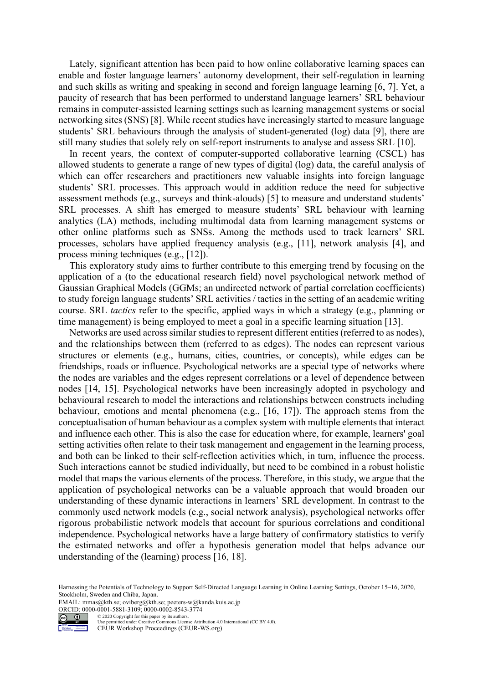Lately, significant attention has been paid to how online collaborative learning spaces can enable and foster language learners' autonomy development, their self-regulation in learning and such skills as writing and speaking in second and foreign language learning [6, 7]. Yet, a paucity of research that has been performed to understand language learners' SRL behaviour remains in computer-assisted learning settings such as learning management systems or social networking sites (SNS) [8]. While recent studies have increasingly started to measure language students' SRL behaviours through the analysis of student-generated (log) data [9], there are still many studies that solely rely on self-report instruments to analyse and assess SRL [10].

In recent years, the context of computer-supported collaborative learning (CSCL) has allowed students to generate a range of new types of digital (log) data, the careful analysis of which can offer researchers and practitioners new valuable insights into foreign language students' SRL processes. This approach would in addition reduce the need for subjective assessment methods (e.g., surveys and think-alouds) [5] to measure and understand students' SRL processes. A shift has emerged to measure students' SRL behaviour with learning analytics (LA) methods, including multimodal data from learning management systems or other online platforms such as SNSs. Among the methods used to track learners' SRL processes, scholars have applied frequency analysis (e.g., [11], network analysis [4], and process mining techniques (e.g., [12]).

This exploratory study aims to further contribute to this emerging trend by focusing on the application of a (to the educational research field) novel psychological network method of Gaussian Graphical Models (GGMs; an undirected network of partial correlation coefficients) to study foreign language students' SRL activities / tactics in the setting of an academic writing course. SRL *tactics* refer to the specific, applied ways in which a strategy (e.g., planning or time management) is being employed to meet a goal in a specific learning situation [13].

Networks are used across similar studies to represent different entities (referred to as nodes), and the relationships between them (referred to as edges). The nodes can represent various structures or elements (e.g., humans, cities, countries, or concepts), while edges can be friendships, roads or influence. Psychological networks are a special type of networks where the nodes are variables and the edges represent correlations or a level of dependence between nodes [14, 15]. Psychological networks have been increasingly adopted in psychology and behavioural research to model the interactions and relationships between constructs including behaviour, emotions and mental phenomena (e.g., [16, 17]). The approach stems from the conceptualisation of human behaviour as a complex system with multiple elements that interact and influence each other. This is also the case for education where, for example, learners' goal setting activities often relate to their task management and engagement in the learning process, and both can be linked to their self-reflection activities which, in turn, influence the process. Such interactions cannot be studied individually, but need to be combined in a robust holistic model that maps the various elements of the process. Therefore, in this study, we argue that the application of psychological networks can be a valuable approach that would broaden our understanding of these dynamic interactions in learners' SRL development. In contrast to the commonly used network models (e.g., social network analysis), psychological networks offer rigorous probabilistic network models that account for spurious correlations and conditional independence. Psychological networks have a large battery of confirmatory statistics to verify the estimated networks and offer a hypothesis generation model that helps advance our understanding of the (learning) process [16, 18].

EMAIL: mmas@kth.se; oviberg@kth.se; peeters-w@kanda.kuis.ac.jp ORCID: 0000-0001-5881-3109; 0000-0002-8543-3774<br>  $\odot$  0 02020 Copyright for this paper by its authors.



Proceedings

© 2020 Copyright for this paper by its authors. Use permitted under Creative Commons License Attribution 4.0 International (CC BY 4.0).

Harnessing the Potentials of Technology to Support Self-Directed Language Learning in Online Learning Settings, October 15–16, 2020, Stockholm, Sweden and Chiba, Japan.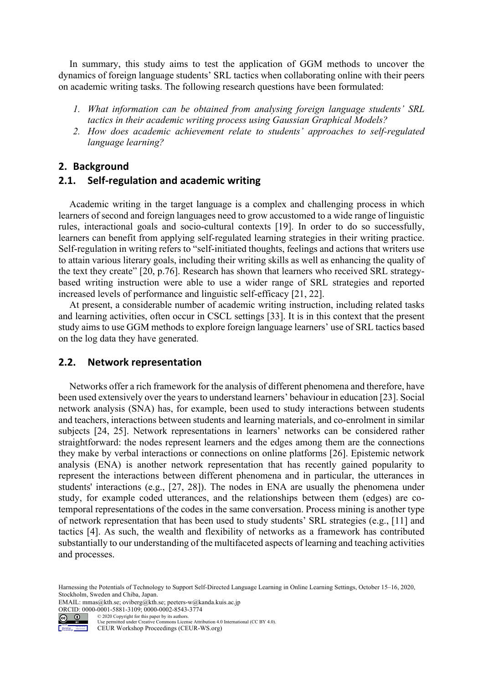In summary, this study aims to test the application of GGM methods to uncover the dynamics of foreign language students' SRL tactics when collaborating online with their peers on academic writing tasks. The following research questions have been formulated:

- *1. What information can be obtained from analysing foreign language students' SRL tactics in their academic writing process using Gaussian Graphical Models?*
- *2. How does academic achievement relate to students' approaches to self-regulated language learning?*

#### **2. Background**

#### **2.1. Self-regulation and academic writing**

Academic writing in the target language is a complex and challenging process in which learners of second and foreign languages need to grow accustomed to a wide range of linguistic rules, interactional goals and socio-cultural contexts [19]. In order to do so successfully, learners can benefit from applying self-regulated learning strategies in their writing practice. Self-regulation in writing refers to "self-initiated thoughts, feelings and actions that writers use to attain various literary goals, including their writing skills as well as enhancing the quality of the text they create" [20, p.76]. Research has shown that learners who received SRL strategybased writing instruction were able to use a wider range of SRL strategies and reported increased levels of performance and linguistic self-efficacy [21, 22].

At present, a considerable number of academic writing instruction, including related tasks and learning activities, often occur in CSCL settings [33]. It is in this context that the present study aims to use GGM methods to explore foreign language learners' use of SRL tactics based on the log data they have generated.

#### **2.2. Network representation**

Networks offer a rich framework for the analysis of different phenomena and therefore, have been used extensively over the years to understand learners' behaviour in education [23]. Social network analysis (SNA) has, for example, been used to study interactions between students and teachers, interactions between students and learning materials, and co-enrolment in similar subjects [24, 25]. Network representations in learners' networks can be considered rather straightforward: the nodes represent learners and the edges among them are the connections they make by verbal interactions or connections on online platforms [26]. Epistemic network analysis (ENA) is another network representation that has recently gained popularity to represent the interactions between different phenomena and in particular, the utterances in students' interactions (e.g., [27, 28]). The nodes in ENA are usually the phenomena under study, for example coded utterances, and the relationships between them (edges) are cotemporal representations of the codes in the same conversation. Process mining is another type of network representation that has been used to study students' SRL strategies (e.g., [11] and tactics [4]. As such, the wealth and flexibility of networks as a framework has contributed substantially to our understanding of the multifaceted aspects of learning and teaching activities and processes.

EMAIL: mmas@kth.se; oviberg@kth.se; peeters-w@kanda.kuis.ac.jp ORCID: 0000-0001-5881-3109; 0000-0002-8543-3774<br>  $\odot$  0 2020 Copyright for this paper by its authors.



Harnessing the Potentials of Technology to Support Self-Directed Language Learning in Online Learning Settings, October 15–16, 2020, Stockholm, Sweden and Chiba, Japan.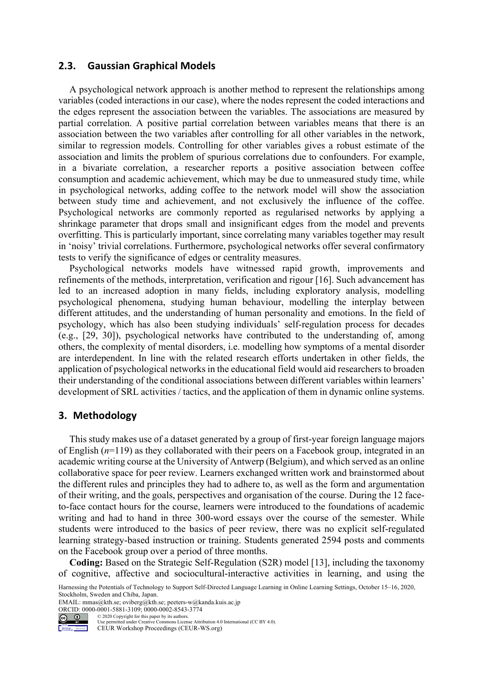#### **2.3. Gaussian Graphical Models**

A psychological network approach is another method to represent the relationships among variables (coded interactions in our case), where the nodes represent the coded interactions and the edges represent the association between the variables. The associations are measured by partial correlation. A positive partial correlation between variables means that there is an association between the two variables after controlling for all other variables in the network, similar to regression models. Controlling for other variables gives a robust estimate of the association and limits the problem of spurious correlations due to confounders. For example, in a bivariate correlation, a researcher reports a positive association between coffee consumption and academic achievement, which may be due to unmeasured study time, while in psychological networks, adding coffee to the network model will show the association between study time and achievement, and not exclusively the influence of the coffee. Psychological networks are commonly reported as regularised networks by applying a shrinkage parameter that drops small and insignificant edges from the model and prevents overfitting. This is particularly important, since correlating many variables together may result in 'noisy' trivial correlations. Furthermore, psychological networks offer several confirmatory tests to verify the significance of edges or centrality measures.

Psychological networks models have witnessed rapid growth, improvements and refinements of the methods, interpretation, verification and rigour [16]. Such advancement has led to an increased adoption in many fields, including exploratory analysis, modelling psychological phenomena, studying human behaviour, modelling the interplay between different attitudes, and the understanding of human personality and emotions. In the field of psychology, which has also been studying individuals' self-regulation process for decades (e.g., [29, 30]), psychological networks have contributed to the understanding of, among others, the complexity of mental disorders, i.e. modelling how symptoms of a mental disorder are interdependent. In line with the related research efforts undertaken in other fields, the application of psychological networks in the educational field would aid researchers to broaden their understanding of the conditional associations between different variables within learners' development of SRL activities / tactics, and the application of them in dynamic online systems.

### **3. Methodology**

This study makes use of a dataset generated by a group of first-year foreign language majors of English (*n*=119) as they collaborated with their peers on a Facebook group, integrated in an academic writing course at the University of Antwerp (Belgium), and which served as an online collaborative space for peer review. Learners exchanged written work and brainstormed about the different rules and principles they had to adhere to, as well as the form and argumentation of their writing, and the goals, perspectives and organisation of the course. During the 12 faceto-face contact hours for the course, learners were introduced to the foundations of academic writing and had to hand in three 300-word essays over the course of the semester. While students were introduced to the basics of peer review, there was no explicit self-regulated learning strategy-based instruction or training. Students generated 2594 posts and comments on the Facebook group over a period of three months.

**Coding:** Based on the Strategic Self-Regulation (S2R) model [13], including the taxonomy of cognitive, affective and sociocultural-interactive activities in learning, and using the

Harnessing the Potentials of Technology to Support Self-Directed Language Learning in Online Learning Settings, October 15–16, 2020, Stockholm, Sweden and Chiba, Japan.

EMAIL: mmas@kth.se; oviberg@kth.se; peeters-w@kanda.kuis.ac.jp ORCID: 0000-0001-5881-3109; 0000-0002-8543-3774<br>  $\odot$  0 02020 Copyright for this paper by its authors.



© 2020 Copyright for this paper by its authors. Use permitted under Creative Commons License Attribution 4.0 International (CC BY 4.0).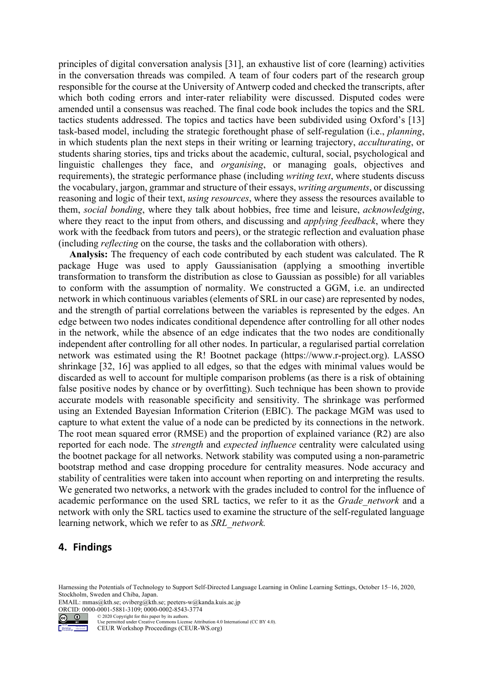principles of digital conversation analysis [31], an exhaustive list of core (learning) activities in the conversation threads was compiled. A team of four coders part of the research group responsible for the course at the University of Antwerp coded and checked the transcripts, after which both coding errors and inter-rater reliability were discussed. Disputed codes were amended until a consensus was reached. The final code book includes the topics and the SRL tactics students addressed. The topics and tactics have been subdivided using Oxford's [13] task-based model, including the strategic forethought phase of self-regulation (i.e., *planning*, in which students plan the next steps in their writing or learning trajectory, *acculturating*, or students sharing stories, tips and tricks about the academic, cultural, social, psychological and linguistic challenges they face, and *organising*, or managing goals, objectives and requirements), the strategic performance phase (including *writing text*, where students discuss the vocabulary, jargon, grammar and structure of their essays, *writing arguments*, or discussing reasoning and logic of their text, *using resources*, where they assess the resources available to them, *social bonding*, where they talk about hobbies, free time and leisure, *acknowledging*, where they react to the input from others, and discussing and *applying feedback*, where they work with the feedback from tutors and peers), or the strategic reflection and evaluation phase (including *reflecting* on the course, the tasks and the collaboration with others).

**Analysis:** The frequency of each code contributed by each student was calculated. The R package Huge was used to apply Gaussianisation (applying a smoothing invertible transformation to transform the distribution as close to Gaussian as possible) for all variables to conform with the assumption of normality. We constructed a GGM, i.e. an undirected network in which continuous variables (elements of SRL in our case) are represented by nodes, and the strength of partial correlations between the variables is represented by the edges. An edge between two nodes indicates conditional dependence after controlling for all other nodes in the network, while the absence of an edge indicates that the two nodes are conditionally independent after controlling for all other nodes. In particular, a regularised partial correlation network was estimated using the R! Bootnet package (https://www.r-project.org). LASSO shrinkage [32, 16] was applied to all edges, so that the edges with minimal values would be discarded as well to account for multiple comparison problems (as there is a risk of obtaining false positive nodes by chance or by overfitting). Such technique has been shown to provide accurate models with reasonable specificity and sensitivity. The shrinkage was performed using an Extended Bayesian Information Criterion (EBIC). The package MGM was used to capture to what extent the value of a node can be predicted by its connections in the network. The root mean squared error (RMSE) and the proportion of explained variance (R2) are also reported for each node. The *strength* and *expected influence* centrality were calculated using the bootnet package for all networks. Network stability was computed using a non-parametric bootstrap method and case dropping procedure for centrality measures. Node accuracy and stability of centralities were taken into account when reporting on and interpreting the results. We generated two networks, a network with the grades included to control for the influence of academic performance on the used SRL tactics, we refer to it as the *Grade network* and a network with only the SRL tactics used to examine the structure of the self-regulated language learning network, which we refer to as *SRL\_network*.

## **4. Findings**

Harnessing the Potentials of Technology to Support Self-Directed Language Learning in Online Learning Settings, October 15–16, 2020, Stockholm, Sweden and Chiba, Japan.

EMAIL: mmas@kth.se; oviberg@kth.se; peeters-w@kanda.kuis.ac.jp ORCID: 0000-0001-5881-3109; 0000-0002-8543-3774<br>  $\odot$  0 02020 Copyright for this paper by its authors.

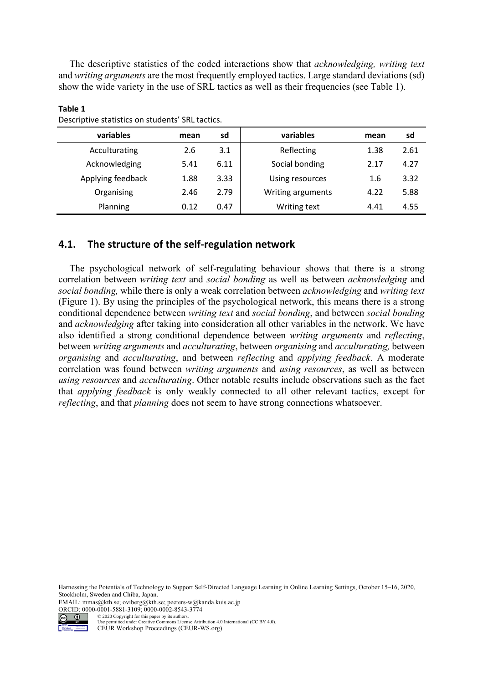The descriptive statistics of the coded interactions show that *acknowledging, writing text*  and *writing arguments* are the most frequently employed tactics. Large standard deviations (sd) show the wide variety in the use of SRL tactics as well as their frequencies (see Table 1).

| variables         | mean | sd   | variables         | mean | sd   |  |
|-------------------|------|------|-------------------|------|------|--|
| Acculturating     | 2.6  | 3.1  | Reflecting        | 1.38 | 2.61 |  |
| Acknowledging     | 5.41 | 6.11 | Social bonding    | 2.17 | 4.27 |  |
| Applying feedback | 1.88 | 3.33 | Using resources   | 1.6  | 3.32 |  |
| Organising        | 2.46 | 2.79 | Writing arguments | 4.22 | 5.88 |  |
| Planning          | 0.12 | 0.47 | Writing text      | 4.41 | 4.55 |  |

#### **Table 1** Descriptive statistics on students' SRL tactics.

## **4.1. The structure of the self-regulation network**

The psychological network of self-regulating behaviour shows that there is a strong correlation between *writing text* and *social bonding* as well as between *acknowledging* and *social bonding,* while there is only a weak correlation between *acknowledging* and *writing text*  (Figure 1). By using the principles of the psychological network, this means there is a strong conditional dependence between *writing text* and *social bonding*, and between *social bonding* and *acknowledging* after taking into consideration all other variables in the network. We have also identified a strong conditional dependence between *writing arguments* and *reflecting*, between *writing arguments* and *acculturating*, between *organising* and *acculturating,* between *organising* and *acculturating*, and between *reflecting* and *applying feedback*. A moderate correlation was found between *writing arguments* and *using resources*, as well as between *using resources* and *acculturating*. Other notable results include observations such as the fact that *applying feedback* is only weakly connected to all other relevant tactics, except for *reflecting*, and that *planning* does not seem to have strong connections whatsoever.

Harnessing the Potentials of Technology to Support Self-Directed Language Learning in Online Learning Settings, October 15–16, 2020, Stockholm, Sweden and Chiba, Japan.

EMAIL: mmas@kth.se; oviberg@kth.se; peeters-w@kanda.kuis.ac.jp





Proceedings

© 2020 Copyright for this paper by its authors. Use permitted under Creative Commons License Attribution 4.0 International (CC BY 4.0).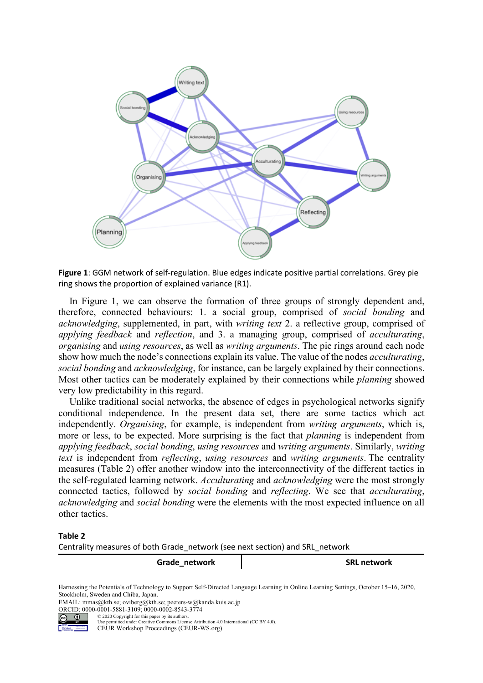

**Figure 1**: GGM network of self-regulation. Blue edges indicate positive partial correlations. Grey pie ring shows the proportion of explained variance (R1).

In Figure 1, we can observe the formation of three groups of strongly dependent and, therefore, connected behaviours: 1. a social group, comprised of *social bonding* and *acknowledging*, supplemented, in part, with *writing text* 2. a reflective group, comprised of *applying feedback* and *reflection*, and 3. a managing group, comprised of *acculturating*, *organising* and *using resources*, as well as *writing arguments*. The pie rings around each node show how much the node's connections explain its value. The value of the nodes *acculturating*, *social bonding* and *acknowledging*, for instance, can be largely explained by their connections. Most other tactics can be moderately explained by their connections while *planning* showed very low predictability in this regard.

Unlike traditional social networks, the absence of edges in psychological networks signify conditional independence. In the present data set, there are some tactics which act independently. *Organising*, for example, is independent from *writing arguments*, which is, more or less, to be expected. More surprising is the fact that *planning* is independent from *applying feedback*, *social bonding*, *using resources* and *writing arguments*. Similarly, *writing text* is independent from *reflecting*, *using resources* and *writing arguments*. The centrality measures (Table 2) offer another window into the interconnectivity of the different tactics in the self-regulated learning network. *Acculturating* and *acknowledging* were the most strongly connected tactics, followed by *social bonding* and *reflecting*. We see that *acculturating*, *acknowledging* and *social bonding* were the elements with the most expected influence on all other tactics.

#### **Table 2**

Centrality measures of both Grade\_network (see next section) and SRL\_network

**Grade\_network SRL network**

Harnessing the Potentials of Technology to Support Self-Directed Language Learning in Online Learning Settings, October 15–16, 2020, Stockholm, Sweden and Chiba, Japan.

EMAIL: mmas@kth.se; oviberg@kth.se; peeters-w@kanda.kuis.ac.jp

ORCID: 0000-0001-5881-3109; 0000-0002-8543-3774

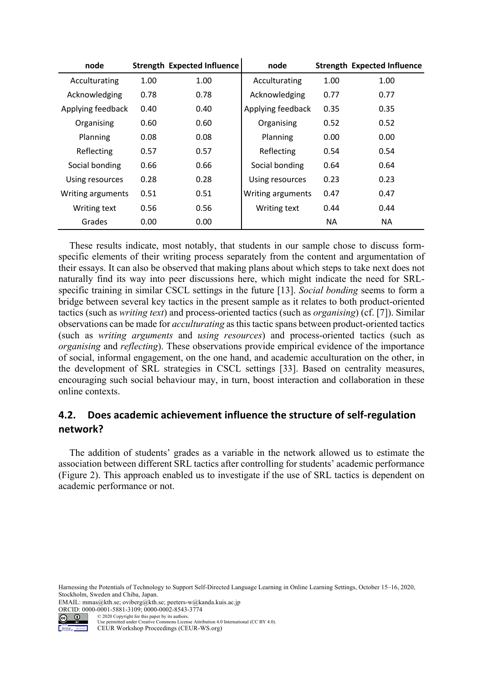| node              |      | <b>Strength Expected Influence</b> | node              |      | <b>Strength Expected Influence</b> |
|-------------------|------|------------------------------------|-------------------|------|------------------------------------|
| Acculturating     | 1.00 | 1.00                               | Acculturating     | 1.00 | 1.00                               |
| Acknowledging     | 0.78 | 0.78                               | Acknowledging     | 0.77 | 0.77                               |
| Applying feedback | 0.40 | 0.40                               | Applying feedback | 0.35 | 0.35                               |
| Organising        | 0.60 | 0.60                               | Organising        | 0.52 | 0.52                               |
| Planning          | 0.08 | 0.08                               | Planning          | 0.00 | 0.00                               |
| Reflecting        | 0.57 | 0.57                               | Reflecting        | 0.54 | 0.54                               |
| Social bonding    | 0.66 | 0.66                               | Social bonding    | 0.64 | 0.64                               |
| Using resources   | 0.28 | 0.28                               | Using resources   | 0.23 | 0.23                               |
| Writing arguments | 0.51 | 0.51                               | Writing arguments | 0.47 | 0.47                               |
| Writing text      | 0.56 | 0.56                               | Writing text      | 0.44 | 0.44                               |
| Grades            | 0.00 | 0.00                               |                   | ΝA   | <b>NA</b>                          |

These results indicate, most notably, that students in our sample chose to discuss formspecific elements of their writing process separately from the content and argumentation of their essays. It can also be observed that making plans about which steps to take next does not naturally find its way into peer discussions here, which might indicate the need for SRLspecific training in similar CSCL settings in the future [13]. *Social bonding* seems to form a bridge between several key tactics in the present sample as it relates to both product-oriented tactics (such as *writing text*) and process-oriented tactics (such as *organising*) (cf. [7]). Similar observations can be made for *acculturating* as this tactic spans between product-oriented tactics (such as *writing arguments* and *using resources*) and process-oriented tactics (such as *organising* and *reflecting*). These observations provide empirical evidence of the importance of social, informal engagement, on the one hand, and academic acculturation on the other, in the development of SRL strategies in CSCL settings [33]. Based on centrality measures, encouraging such social behaviour may, in turn, boost interaction and collaboration in these online contexts.

## **4.2. Does academic achievement influence the structure of self-regulation network?**

The addition of students' grades as a variable in the network allowed us to estimate the association between different SRL tactics after controlling for students' academic performance (Figure 2). This approach enabled us to investigate if the use of SRL tactics is dependent on academic performance or not.

EMAIL: mmas@kth.se; oviberg@kth.se; peeters-w@kanda.kuis.ac.jp





Harnessing the Potentials of Technology to Support Self-Directed Language Learning in Online Learning Settings, October 15–16, 2020, Stockholm, Sweden and Chiba, Japan.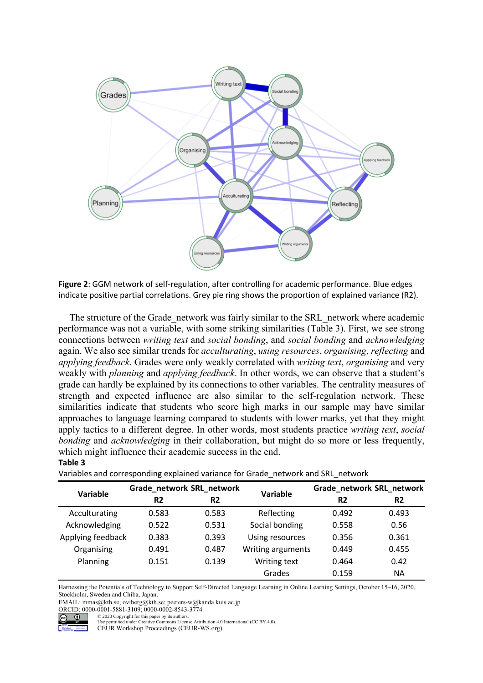

**Figure 2**: GGM network of self-regulation, after controlling for academic performance. Blue edges indicate positive partial correlations. Grey pie ring shows the proportion of explained variance (R2).

The structure of the Grade network was fairly similar to the SRL network where academic performance was not a variable, with some striking similarities (Table 3). First, we see strong connections between *writing text* and *social bonding*, and *social bonding* and *acknowledging*  again. We also see similar trends for *acculturating*, *using resources*, *organising*, *reflecting* and *applying feedback*. Grades were only weakly correlated with *writing text*, *organising* and very weakly with *planning* and *applying feedback*. In other words, we can observe that a student's grade can hardly be explained by its connections to other variables. The centrality measures of strength and expected influence are also similar to the self-regulation network. These similarities indicate that students who score high marks in our sample may have similar approaches to language learning compared to students with lower marks, yet that they might apply tactics to a different degree. In other words, most students practice *writing text*, *social bonding* and *acknowledging* in their collaboration, but might do so more or less frequently, which might influence their academic success in the end.

| . .<br>×<br>۰.<br>× | v<br>۰,<br>× |
|---------------------|--------------|
|---------------------|--------------|

Variables and corresponding explained variance for Grade\_network and SRL\_network

| Variable          | Grade_network SRL_network |                | Variable          | Grade_network SRL_network |                |  |
|-------------------|---------------------------|----------------|-------------------|---------------------------|----------------|--|
|                   | R <sub>2</sub>            | R <sub>2</sub> |                   | R <sub>2</sub>            | R <sub>2</sub> |  |
| Acculturating     | 0.583                     | 0.583          | Reflecting        | 0.492                     | 0.493          |  |
| Acknowledging     | 0.522                     | 0.531          | Social bonding    | 0.558                     | 0.56           |  |
| Applying feedback | 0.383                     | 0.393          | Using resources   | 0.356                     | 0.361          |  |
| Organising        | 0.491                     | 0.487          | Writing arguments | 0.449                     | 0.455          |  |
| Planning          | 0.151                     | 0.139          | Writing text      | 0.464                     | 0.42           |  |
|                   |                           |                | Grades            | 0.159                     | ΝA             |  |

Harnessing the Potentials of Technology to Support Self-Directed Language Learning in Online Learning Settings, October 15–16, 2020, Stockholm, Sweden and Chiba, Japan.

EMAIL: mmas@kth.se; oviberg@kth.se; peeters-w@kanda.kuis.ac.jp

ORCID: 0000-0001-5881-3109; 0000-0002-8543-3774



Proceedings

© 2020 Copyright for this paper by its authors. Use permitted under Creative Commons License Attribution 4.0 International (CC BY 4.0).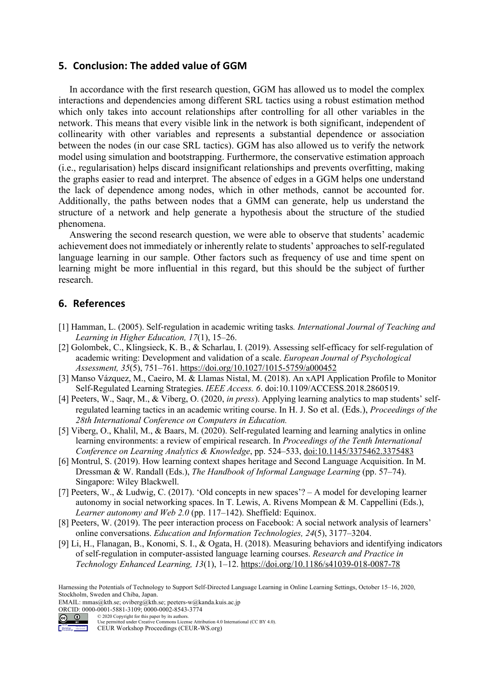## **5. Conclusion: The added value of GGM**

In accordance with the first research question, GGM has allowed us to model the complex interactions and dependencies among different SRL tactics using a robust estimation method which only takes into account relationships after controlling for all other variables in the network. This means that every visible link in the network is both significant, independent of collinearity with other variables and represents a substantial dependence or association between the nodes (in our case SRL tactics). GGM has also allowed us to verify the network model using simulation and bootstrapping. Furthermore, the conservative estimation approach (i.e., regularisation) helps discard insignificant relationships and prevents overfitting, making the graphs easier to read and interpret. The absence of edges in a GGM helps one understand the lack of dependence among nodes, which in other methods, cannot be accounted for. Additionally, the paths between nodes that a GMM can generate, help us understand the structure of a network and help generate a hypothesis about the structure of the studied phenomena.

Answering the second research question, we were able to observe that students' academic achievement does not immediately or inherently relate to students' approaches to self-regulated language learning in our sample. Other factors such as frequency of use and time spent on learning might be more influential in this regard, but this should be the subject of further research.

### **6. References**

- [1] Hamman, L. (2005). Self-regulation in academic writing tasks*. International Journal of Teaching and Learning in Higher Education, 17*(1), 15–26.
- [2] Golombek, C., Klingsieck, K. B., & Scharlau, I. (2019). Assessing self-efficacy for self-regulation of academic writing: Development and validation of a scale. *European Journal of Psychological Assessment, 35*(5), 751–761. https://doi.org/10.1027/1015-5759/a000452
- [3] Manso Vázquez, M., Caeiro, M. & Llamas Nistal, M. (2018). An xAPI Application Profile to Monitor Self-Regulated Learning Strategies. *IEEE Access. 6*. doi:10.1109/ACCESS.2018.2860519.
- [4] Peeters, W., Saqr, M., & Viberg, O. (2020, *in press*). Applying learning analytics to map students' selfregulated learning tactics in an academic writing course. In H. J. So et al. (Eds.), *Proceedings of the 28th International Conference on Computers in Education.*
- [5] Viberg, O., Khalil, M., & Baars, M. (2020). Self-regulated learning and learning analytics in online learning environments: a review of empirical research. In *Proceedings of the Tenth International Conference on Learning Analytics & Knowledge*, pp. 524–533, doi:10.1145/3375462.3375483
- [6] Montrul, S. (2019). How learning context shapes heritage and Second Language Acquisition. In M. Dressman & W. Randall (Eds.), *The Handbook of Informal Language Learning* (pp. 57–74). Singapore: Wiley Blackwell.
- [7] Peeters, W., & Ludwig, C. (2017). 'Old concepts in new spaces'? A model for developing learner autonomy in social networking spaces. In T. Lewis, A. Rivens Mompean & M. Cappellini (Eds.), *Learner autonomy and Web 2.0* (pp. 117–142). Sheffield: Equinox.
- [8] Peeters, W. (2019). The peer interaction process on Facebook: A social network analysis of learners' online conversations. *Education and Information Technologies, 24*(5), 3177–3204.
- [9] Li, H., Flanagan, B., Konomi, S. I., & Ogata, H. (2018). Measuring behaviors and identifying indicators of self-regulation in computer-assisted language learning courses. *Research and Practice in Technology Enhanced Learning, 13*(1), 1–12. https://doi.org/10.1186/s41039-018-0087-78

EMAIL: mmas@kth.se; oviberg@kth.se; peeters-w@kanda.kuis.ac.jp

Workshop Proceedings

Harnessing the Potentials of Technology to Support Self-Directed Language Learning in Online Learning Settings, October 15–16, 2020, Stockholm, Sweden and Chiba, Japan.

ORCID: 0000-0001-5881-3109; 0000-0002-8543-3774<br>  $\odot$  0 2020 Copyright for this paper by its authors.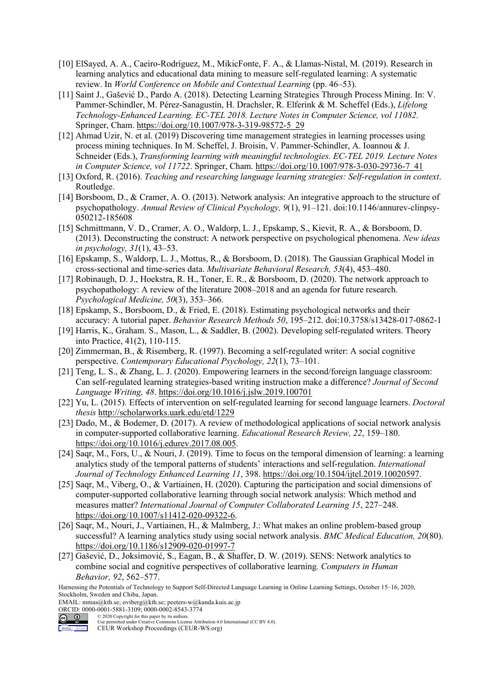- [10] ElSayed, A. A., Caeiro-Rodríguez, M., MikicFonte, F. A., & Llamas-Nistal, M. (2019). Research in learning analytics and educational data mining to measure self-regulated learning: A systematic review. In *World Conference on Mobile and Contextual Learning* (pp. 46–53).
- [11] Saint J., Gašević D., Pardo A. (2018). Detecting Learning Strategies Through Process Mining. In: V. Pammer-Schindler, M. Pérez-Sanagustín, H. Drachsler, R. Elferink & M. Scheffel (Eds.), *Lifelong Technology-Enhanced Learning. EC-TEL 2018. Lecture Notes in Computer Science, vol 11082*. Springer, Cham. https://doi.org/10.1007/978-3-319-98572-5\_29
- [12] Ahmad Uzir, N. et al. (2019) Discovering time management strategies in learning processes using process mining techniques. In M. Scheffel, J. Broisin, V. Pammer-Schindler, A. Ioannou & J. Schneider (Eds.), *Transforming learning with meaningful technologies. EC-TEL 2019. Lecture Notes in Computer Science, vol 11722*. Springer, Cham. https://doi.org/10.1007/978-3-030-29736-7\_41
- [13] Oxford, R. (2016). *Teaching and researching language learning strategies: Self-regulation in context*. Routledge.
- [14] Borsboom, D., & Cramer, A. O. (2013). Network analysis: An integrative approach to the structure of psychopathology. *Annual Review of Clinical Psychology, 9*(1), 91–121. doi:10.1146/annurev-clinpsy-050212-185608
- [15] Schmittmann, V. D., Cramer, A. O., Waldorp, L. J., Epskamp, S., Kievit, R. A., & Borsboom, D. (2013). Deconstructing the construct: A network perspective on psychological phenomena. *New ideas in psychology, 31*(1), 43–53.
- [16] Epskamp, S., Waldorp, L. J., Mottus, R., & Borsboom, D. (2018). The Gaussian Graphical Model in cross-sectional and time-series data. *Multivariate Behavioral Research, 53*(4), 453–480.
- [17] Robinaugh, D. J., Hoekstra, R. H., Toner, E. R., & Borsboom, D. (2020). The network approach to psychopathology: A review of the literature 2008–2018 and an agenda for future research. *Psychological Medicine, 50*(3), 353–366.
- [18] Epskamp, S., Borsboom, D., & Fried, E. (2018). Estimating psychological networks and their accuracy: A tutorial paper. *Behavior Research Methods 50*, 195–212. doi:10.3758/s13428-017-0862-1
- [19] Harris, K., Graham. S., Mason, L., & Saddler, B. (2002). Developing self-regulated writers. Theory into Practice, 41(2), 110-115.
- [20] Zimmerman, B., & Risemberg, R. (1997). Becoming a self-regulated writer: A social cognitive perspective. *Contemporary Educational Psychology, 22*(1), 73–101.
- [21] Teng, L. S., & Zhang, L. J. (2020). Empowering learners in the second/foreign language classroom: Can self-regulated learning strategies-based writing instruction make a difference? *Journal of Second Language Writing, 48*. https://doi.org/10.1016/j.jslw.2019.100701
- [22] Yu, L. (2015). Effects of intervention on self-regulated learning for second language learners. *Doctoral thesis* http://scholarworks.uark.edu/etd/1229
- [23] Dado, M., & Bodemer, D. (2017). A review of methodological applications of social network analysis in computer-supported collaborative learning. *Educational Research Review, 22*, 159–180. https://doi.org/10.1016/j.edurev.2017.08.005.
- [24] Saqr, M., Fors, U., & Nouri, J. (2019). Time to focus on the temporal dimension of learning: a learning analytics study of the temporal patterns of students' interactions and self-regulation. *International Journal of Technology Enhanced Learning 11*, 398. https://doi.org/10.1504/ijtel.2019.10020597.
- [25] Saqr, M., Viberg, O., & Vartiainen, H. (2020). Capturing the participation and social dimensions of computer-supported collaborative learning through social network analysis: Which method and measures matter? *International Journal of Computer Collaborated Learning 15*, 227–248. https://doi.org/10.1007/s11412-020-09322-6.
- [26] Saqr, M., Nouri, J., Vartiainen, H., & Malmberg, J.: What makes an online problem-based group successful? A learning analytics study using social network analysis. *BMC Medical Education, 20*(80). https://doi.org/10.1186/s12909-020-01997-7
- [27] Gašević, D., Joksimović, S., Eagan, B., & Shaffer, D. W. (2019). SENS: Network analytics to combine social and cognitive perspectives of collaborative learning*. Computers in Human Behavior, 92*, 562–577.

Harnessing the Potentials of Technology to Support Self-Directed Language Learning in Online Learning Settings, October 15–16, 2020, Stockholm, Sweden and Chiba, Japan.

EMAIL: mmas@kth.se; oviberg@kth.se; peeters-w@kanda.kuis.ac.jp

ORCID: 0000-0001-5881-3109; 0000-0002-8543-3774<br>  $\odot$  0 02020 Copyright for this paper by its authors.

Workshop Proceedings